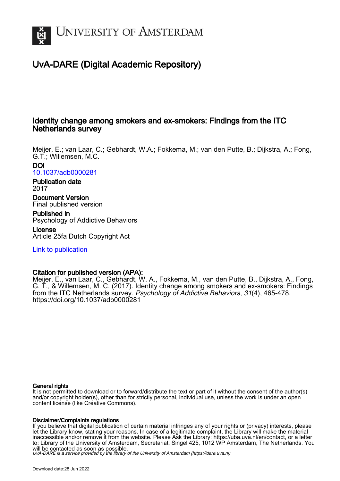

# UvA-DARE (Digital Academic Repository)

# Identity change among smokers and ex-smokers: Findings from the ITC Netherlands survey

Meijer, E.; van Laar, C.; Gebhardt, W.A.; Fokkema, M.; van den Putte, B.; Dijkstra, A.; Fong, G.T.; Willemsen, M.C. DOI

[10.1037/adb0000281](https://doi.org/10.1037/adb0000281)

Publication date 2017

Document Version Final published version

Published in Psychology of Addictive Behaviors License

Article 25fa Dutch Copyright Act

[Link to publication](https://dare.uva.nl/personal/pure/en/publications/identity-change-among-smokers-and-exsmokers-findings-from-the-itc-netherlands-survey(81b223cc-b4b0-4dc5-bf6c-791e8ee60a8b).html)

# Citation for published version (APA):

Meijer, E., van Laar, C., Gebhardt, W. A., Fokkema, M., van den Putte, B., Dijkstra, A., Fong, G. T., & Willemsen, M. C. (2017). Identity change among smokers and ex-smokers: Findings from the ITC Netherlands survey. Psychology of Addictive Behaviors, 31(4), 465-478. <https://doi.org/10.1037/adb0000281>

# General rights

It is not permitted to download or to forward/distribute the text or part of it without the consent of the author(s) and/or copyright holder(s), other than for strictly personal, individual use, unless the work is under an open content license (like Creative Commons).

# Disclaimer/Complaints regulations

If you believe that digital publication of certain material infringes any of your rights or (privacy) interests, please let the Library know, stating your reasons. In case of a legitimate complaint, the Library will make the material inaccessible and/or remove it from the website. Please Ask the Library: https://uba.uva.nl/en/contact, or a letter to: Library of the University of Amsterdam, Secretariat, Singel 425, 1012 WP Amsterdam, The Netherlands. You will be contacted as soon as possible.

UvA-DARE is a service provided by the library of the University of Amsterdam (http*s*://dare.uva.nl)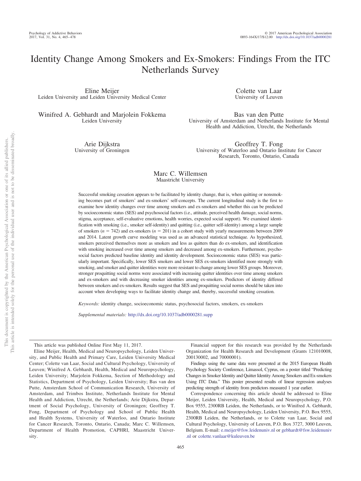# Identity Change Among Smokers and Ex-Smokers: Findings From the ITC Netherlands Survey

Eline Meijer Leiden University and Leiden University Medical Center

Winifred A. Gebhardt and Marjolein Fokkema Leiden University

> Arie Dijkstra University of Groningen

Colette van Laar University of Leuven

Bas van den Putte University of Amsterdam and Netherlands Institute for Mental Health and Addiction, Utrecht, the Netherlands

Geoffrey T. Fong University of Waterloo and Ontario Institute for Cancer Research, Toronto, Ontario, Canada

## Marc C. Willemsen Maastricht University

Successful smoking cessation appears to be facilitated by identity change, that is, when quitting or nonsmoking becomes part of smokers' and ex-smokers' self-concepts. The current longitudinal study is the first to examine how identity changes over time among smokers and ex-smokers and whether this can be predicted by socioeconomic status (SES) and psychosocial factors (i.e., attitude, perceived health damage, social norms, stigma, acceptance, self-evaluative emotions, health worries, expected social support). We examined identification with smoking (i.e., smoker self-identity) and quitting (i.e., quitter self-identity) among a large sample of smokers  $(n = 742)$  and ex-smokers  $(n = 201)$  in a cohort study with yearly measurements between 2009 and 2014. Latent growth curve modeling was used as an advanced statistical technique. As hypothesized, smokers perceived themselves more as smokers and less as quitters than do ex-smokers, and identification with smoking increased over time among smokers and decreased among ex-smokers. Furthermore, psychosocial factors predicted baseline identity and identity development. Socioeconomic status (SES) was particularly important. Specifically, lower SES smokers and lower SES ex-smokers identified more strongly with smoking, and smoker and quitter identities were more resistant to change among lower SES groups. Moreover, stronger proquitting social norms were associated with increasing quitter identities over time among smokers and ex-smokers and with decreasing smoker identities among ex-smokers. Predictors of identity differed between smokers and ex-smokers. Results suggest that SES and proquitting social norms should be taken into account when developing ways to facilitate identity change and, thereby, successful smoking cessation.

*Keywords:* identity change, socioeconomic status, psychosocial factors, smokers, ex-smokers

*Supplemental materials:* http://dx.doi.org/10.1037/adb0000281.supp

This article was published Online First May 11, 2017.

Eline Meijer, Health, Medical and Neuropsychology, Leiden University, and Public Health and Primary Care, Leiden University Medical Center; Colette van Laar, Social and Cultural Psychology, University of Leuven; Winifred A. Gebhardt, Health, Medical and Neuropsychology, Leiden University; Marjolein Fokkema, Section of Methodology and Statistics, Department of Psychology, Leiden University; Bas van den Putte, Amsterdam School of Communication Research, University of Amsterdam, and Trimbos Institute, Netherlands Institute for Mental Health and Addiction, Utrecht, the Netherlands; Arie Dijkstra, Department of Social Psychology, University of Groningen; Geoffrey T. Fong, Department of Psychology and School of Public Health and Health Systems, University of Waterloo, and Ontario Institute for Cancer Research, Toronto, Ontario, Canada; Marc C. Willemsen, Department of Health Promotion, CAPHRI, Maastricht University.

Financial support for this research was provided by the Netherlands Organization for Health Research and Development (Grants 121010008, 200130002, and 70000001).

Findings using the same data were presented at the 2015 European Health Psychology Society Conference, Limassol, Cyprus, on a poster titled "Predicting Changes in Smoker Identity and Quitter Identity Among Smokers and Ex-smokers Using ITC Data." This poster presented results of linear regression analyses predicting strength of identity from predictors measured 1 year earlier.

Correspondence concerning this article should be addressed to Eline Meijer, Leiden University, Health, Medical and Neuropsychology, P.O. Box 9555, 2300RB Leiden, the Netherlands, or to Winifred A. Gebhardt, Health, Medical and Neuropsychology, Leiden University, P.O. Box 9555, 2300RB Leiden, the Netherlands, or to Colette van Laar, Social and Cultural Psychology, University of Leuven, P.O. Box 3727, 3000 Leuven, Belgium. E-mail: [e.meijer@fsw.leidenuniv.nl](mailto:e.meijer@fsw.leidenuniv.nl) or [gebhardt@fsw.leidenuniv](mailto:gebhardt@fsw.leidenuniv.nl) [.nl](mailto:gebhardt@fsw.leidenuniv.nl) or [colette.vanlaar@kuleuven.be](mailto:colette.vanlaar@kuleuven.be)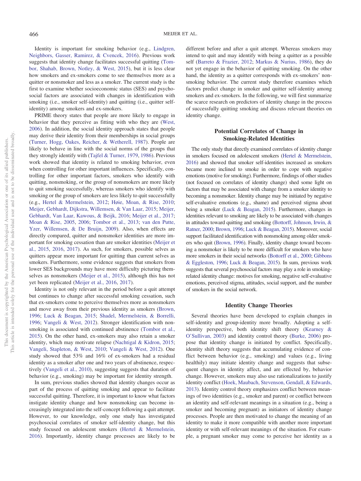Identity is important for smoking behavior (e.g., [Lindgren,](#page-13-0) [Neighbors, Gasser, Ramirez, & Cvencek, 2016\)](#page-13-0). Previous work suggests that identity change facilitates successful quitting [\(Tom](#page-13-1)[bor, Shahab, Brown, Notley, & West, 2015\)](#page-13-1), but it is less clear how smokers and ex-smokers come to see themselves more as a quitter or nonsmoker and less as a smoker. The current study is the first to examine whether socioeconomic status (SES) and psychosocial factors are associated with changes in identification with smoking (i.e., smoker self-identity) and quitting (i.e., quitter selfidentity) among smokers and ex-smokers.

PRIME theory states that people are more likely to engage in behavior that they perceive as fitting with who they are [\(West,](#page-14-0) [2006\)](#page-14-0). In addition, the social identity approach states that people may derive their identity from their memberships in social groups [\(Turner, Hogg, Oakes, Reicher, & Wetherell, 1987\)](#page-14-1). People are likely to behave in line with the social norms of the groups that they strongly identify with [\(Tajfel & Turner, 1979,](#page-13-2) [1986\)](#page-13-3). Previous work showed that identity is related to smoking behavior, even when controlling for other important influences. Specifically, controlling for other important factors, smokers who identify with quitting, nonsmoking, or the group of nonsmokers are more likely to quit smoking successfully, whereas smokers who identify with smoking or the group of smokers are less likely to quit successfully (e.g., [Hertel & Mermelstein, 2012;](#page-12-0) [Høie, Moan, & Rise, 2010;](#page-12-1) [Meijer, Gebhardt, Dijkstra, Willemsen, & Van Laar, 2015;](#page-13-4) [Meijer,](#page-13-5) [Gebhardt, Van Laar, Kawous, & Beijk, 2016;](#page-13-5) [Meijer et al., 2017;](#page-13-6) [Moan & Rise, 2005,](#page-13-7) [2006;](#page-13-8) [Tombor et al., 2013;](#page-14-2) [van den Putte,](#page-14-3) [Yzer, Willemsen, & De Bruijn, 2009\)](#page-14-3). Also, when effects are directly compared, quitter and nonsmoker identities are more important for smoking cessation than are smoker identities [\(Meijer et](#page-13-4) [al., 2015,](#page-13-4) [2016,](#page-13-5) [2017\)](#page-13-6). As such, for smokers, possible selves as quitters appear more important for quitting than current selves as smokers. Furthermore, some evidence suggests that smokers from lower SES backgrounds may have more difficulty picturing themselves as nonsmokers [\(Meijer et al., 2015\)](#page-13-4), although this has not yet been replicated [\(Meijer et al., 2016,](#page-13-5) [2017\)](#page-13-6).

Identity is not only relevant in the period before a quit attempt but continues to change after successful smoking cessation, such that ex-smokers come to perceive themselves more as nonsmokers and move away from their previous identity as smokers [\(Brown,](#page-12-2) [1996;](#page-12-2) [Luck & Beagan, 2015;](#page-13-9) [Shadel, Mermelstein, & Borrelli,](#page-13-10) [1996;](#page-13-10) [Vangeli & West, 2012\)](#page-14-4). Stronger identification with nonsmoking is associated with continued abstinence [\(Tombor et al.,](#page-13-1) [2015\)](#page-13-1). On the other hand, ex-smokers may also retain a smoker identity, which may motivate relapse [\(Nachtigal & Kidron, 2015;](#page-13-11) [Vangeli, Stapleton, & West, 2010;](#page-14-5) [Vangeli & West, 2012\)](#page-14-4). One study showed that 53% and 16% of ex-smokers had a residual identity as a smoker after one and two years of abstinence, respectively [\(Vangeli et al., 2010\)](#page-14-5), suggesting suggests that duration of behavior (e.g., smoking) may be important for identity strength.

In sum, previous studies showed that identity changes occur as part of the process of quitting smoking and appear to facilitate successful quitting. Therefore, it is important to know what factors instigate identity change and how nonsmoking can become increasingly integrated into the self-concept following a quit attempt. However, to our knowledge, only one study has investigated psychosocial correlates of smoker self-identity change, but this study focused on adolescent smokers [\(Hertel & Mermelstein,](#page-12-3) [2016\)](#page-12-3). Importantly, identity change processes are likely to be

different before and after a quit attempt. Whereas smokers may intend to quit and may identify with being a quitter as a possible self [\(Barreto & Frazier, 2012;](#page-12-4) [Markus & Nurius, 1986\)](#page-13-12), they do not yet engage in the behavior of quitting smoking. On the other hand, the identity as a quitter corresponds with ex-smokers' nonsmoking behavior. The current study therefore examines which factors predict change in smoker and quitter self-identity among smokers and ex-smokers. In the following, we will first summarize the scarce research on predictors of identity change in the process of successfully quitting smoking and discuss relevant theories on identity change.

# **Potential Correlates of Change in Smoking-Related Identities**

The only study that directly examined correlates of identity change in smokers focused on adolescent smokers [\(Hertel & Mermelstein,](#page-12-3) [2016\)](#page-12-3) and showed that smoker self-identities increased as smokers became more inclined to smoke in order to cope with negative emotions (motive for smoking). Furthermore, findings of other studies (not focused on correlates of identity change) shed some light on factors that may be associated with change from a smoker identity to becoming a nonsmoker. Identity change may be initiated by negative self-evaluative emotions (e.g., shame) and perceived stigma about being a smoker [\(Luck & Beagan, 2015\)](#page-13-9). Furthermore, changes in identities relevant to smoking are likely to be associated with changes in attitudes toward quitting and smoking [\(Bottorff, Johnson, Irwin, &](#page-12-5) [Ratner, 2000;](#page-12-5) [Brown, 1996;](#page-12-2) [Luck & Beagan, 2015\)](#page-13-9). Moreover, social support facilitated identification with nonsmoking among older smokers who quit [\(Brown, 1996\)](#page-12-2). Finally, identity change toward becoming a nonsmoker is likely to be more difficult for smokers who have more smokers in their social networks [\(Bottorff et al., 2000;](#page-12-5) [Gibbons](#page-12-6) [& Eggleston, 1996;](#page-12-6) [Luck & Beagan, 2015\)](#page-13-9). In sum, previous work suggests that several psychosocial factors may play a role in smokingrelated identity change: motives for smoking, negative self-evaluative emotions, perceived stigma, attitudes, social support, and the number of smokers in the social network.

### **Identity Change Theories**

Several theories have been developed to explain changes in self-identity and group-identity more broadly. Adopting a selfidentity perspective, both identity shift theory [\(Kearney &](#page-13-13) [O'Sullivan, 2003\)](#page-13-13) and identity control theory [\(Burke, 2006\)](#page-12-7) propose that identity change is initiated by conflict. Specifically, identity shift theory suggests that accumulating evidence of conflict between behavior (e.g., smoking) and values (e.g., living healthily) may initiate identity change and suggests that subsequent changes in identity affect, and are effected by, behavior change. However, smokers may also use rationalizations to justify identity conflict [\(Hoek, Maubach, Stevenson, Gendall, & Edwards,](#page-12-8) [2013\)](#page-12-8). Identity control theory emphasizes conflict between meanings of two identities (e.g., smoker and parent) or conflict between an identity and self-relevant meanings in a situation (e.g., being a smoker and becoming pregnant) as initiators of identity change processes. People are then motivated to change the meaning of an identity to make it more compatible with another more important identity or with self-relevant meanings of the situation. For example, a pregnant smoker may come to perceive her identity as a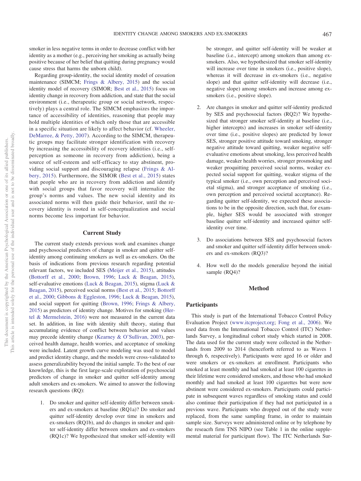smoker in less negative terms in order to decrease conflict with her identity as a mother (e.g., perceiving her smoking as actually being positive because of her belief that quitting during pregnancy would cause stress that harms the unborn child).

Regarding group-identity, the social identity model of cessation maintenance (SIMCM; [Frings & Albery, 2015\)](#page-12-9) and the social identity model of recovery (SIMOR; [Best et al., 2015\)](#page-12-10) focus on identity change in recovery from addiction, and state that the social environment (i.e., therapeutic group or social network, respectively) plays a central role. The SIMCM emphasizes the importance of accessibility of identities, reasoning that people may hold multiple identities of which only those that are accessible in a specific situation are likely to affect behavior (cf. [Wheeler,](#page-14-6) [DeMarree, & Petty, 2007\)](#page-14-6). According to the SIMCM, therapeutic groups may facilitate stronger identification with recovery by increasing the accessibility of recovery identities (i.e., selfperception as someone in recovery from addiction), being a source of self-esteem and self-efficacy to stay abstinent, providing social support and discouraging relapse [\(Frings & Al](#page-12-9)[bery, 2015\)](#page-12-9). Furthermore, the SIMOR [\(Best et al., 2015\)](#page-12-10) states that people who are in recovery from addiction and identify with social groups that favor recovery will internalize the group's norms and values. The new social identity and its associated norms will then guide their behavior, until the recovery identity is rooted in self-conceptualization and social norms become less important for behavior.

#### **Current Study**

The current study extends previous work and examines change and psychosocial predictors of change in smoker and quitter selfidentity among continuing smokers as well as ex-smokers. On the basis of indications from previous research regarding potential relevant factors, we included SES [\(Meijer et al., 2015\)](#page-13-4), attitudes [\(Bottorff et al., 2000;](#page-12-5) [Brown, 1996;](#page-12-2) [Luck & Beagan, 2015\)](#page-13-9), self-evaluative emotions [\(Luck & Beagan, 2015\)](#page-13-9), stigma [\(Luck &](#page-13-9) [Beagan, 2015\)](#page-13-9), perceived social norms [\(Best et al., 2015;](#page-12-10) [Bottorff](#page-12-5) [et al., 2000;](#page-12-5) [Gibbons & Eggleston, 1996;](#page-12-6) [Luck & Beagan, 2015\)](#page-13-9), and social support for quitting [\(Brown, 1996;](#page-12-2) [Frings & Albery,](#page-12-9) [2015\)](#page-12-9) as predictors of identity change. Motives for smoking [\(Her](#page-12-3)[tel & Mermelstein, 2016\)](#page-12-3) were not measured in the current data set. In addition, in line with identity shift theory, stating that accumulating evidence of conflict between behavior and values may precede identity change [\(Kearney & O'Sullivan, 2003\)](#page-13-13), perceived health damage, health worries, and acceptance of smoking were included. Latent growth curve modeling was used to model and predict identity change, and the models were cross-validated to assess generalizability beyond the initial sample. To the best of our knowledge, this is the first large-scale exploration of psychosocial predictors of change in smoker and quitter self-identity among adult smokers and ex-smokers. We aimed to answer the following research questions (RQ):

1. Do smoker and quitter self-identity differ between smokers and ex-smokers at baseline (RQ1a)? Do smoker and quitter self-identity develop over time in smokers and ex-smokers (RQ1b), and do changes in smoker and quitter self-identity differ between smokers and ex-smokers (RQ1c)? We hypothesized that smoker self-identity will be stronger, and quitter self-identity will be weaker at baseline (i.e., intercept) among smokers than among exsmokers. Also, we hypothesized that smoker self-identity will increase over time in smokers (i.e., positive slope), whereas it will decrease in ex-smokers (i.e., negative slope) and that quitter self-identity will decrease (i.e., negative slope) among smokers and increase among exsmokers (i.e., positive slope).

- Are changes in smoker and quitter self-identity predicted by SES and psychosocial factors (RQ2)? We hypothesized that stronger smoker self-identity at baseline (i.e., higher intercepts) and increases in smoker self-identity over time (i.e., positive slopes) are predicted by lower SES, stronger positive attitude toward smoking, stronger negative attitude toward quitting, weaker negative selfevaluative emotions about smoking, less perceived health damage, weaker health worries, stronger prosmoking and weaker proquitting perceived social norms, weaker expected social support for quitting, weaker stigma of the typical smoker (i.e., own perception and perceived societal stigma), and stronger acceptance of smoking (i.e., own perception and perceived societal acceptance). Regarding quitter self-identity, we expected these associations to be in the opposite direction, such that, for example, higher SES would be associated with stronger baseline quitter self-identity and increased quitter selfidentity over time.
- 3. Do associations between SES and psychosocial factors and smoker and quitter self-identity differ between smokers and ex-smokers (RQ3)?
- 4. How well do the models generalize beyond the initial sample (RO4)?

#### **Method**

### **Participants**

This study is part of the International Tobacco Control Policy Evaluation Project [\(www.itcproject.org;](http://www.itcproject.org) [Fong et al., 2006\)](#page-12-11). We used data from the International Tobacco Control (ITC) Netherlands Survey, a longitudinal cohort study which started in 2008. The data used for the current study were collected in the Netherlands from 2009 to 2014 (henceforth referred to as Waves 1 through 6, respectively). Participants were aged 16 or older and were smokers or ex-smokers at enrollment. Participants who smoked at least monthly and had smoked at least 100 cigarettes in their lifetime were considered smokers, and those who had smoked monthly and had smoked at least 100 cigarettes but were now abstinent were considered ex-smokers. Participants could participate in subsequent waves regardless of smoking status and could also continue their participation if they had not participated in a previous wave. Participants who dropped out of the study were replaced, from the same sampling frame, in order to maintain sample size. Surveys were administered online or by telephone by the reseacrh firm TNS NIPO (see Table 1 in the online supplemental material for participant flow). The ITC Netherlands Sur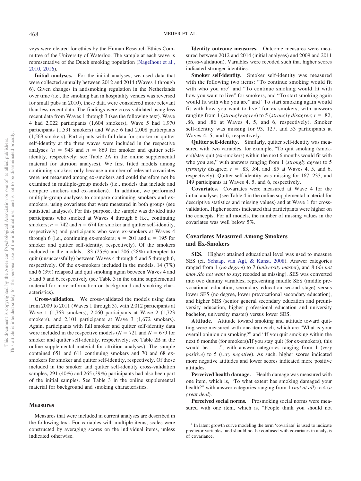veys were cleared for ethics by the Human Research Ethics Committee of the University of Waterloo. The sample at each wave is representative of the Dutch smoking population [\(Nagelhout et al.,](#page-13-14) [2010,](#page-13-14) [2016\)](#page-13-15).

**Initial analyses.** For the initial analyses, we used data that were collected annually between 2012 and 2014 (Waves 4 through 6). Given changes in antismoking regulation in the Netherlands over time (i.e., the smoking ban in hospitality venues was reversed for small pubs in 2010), these data were considered more relevant than less recent data. The findings were cross-validated using less recent data from Waves 1 through 3 (see the following text). Wave 4 had 2,022 participants (1,604 smokers), Wave 5 had 1,970 participants (1,531 smokers) and Wave 6 had 2,008 participants (1,569 smokers). Participants with full data for smoker or quitter self-identity at the three waves were included in the respective analyses  $(n = 943$  and  $n = 869$  for smoker and quitter selfidentity, respectively; see Table 2A in the online supplemental material for attrition analyses). We first fitted models among continuing smokers only because a number of relevant covariates were not measured among ex-smokers and could therefore not be examined in multiple-group models (i.e., models that include and compare smokers and ex-smokers).<sup>1</sup> In addition, we performed multiple-group analyses to compare continuing smokers and exsmokers, using covariates that were measured in both groups (see statistical analyses). For this purpose, the sample was divided into participants who smoked at Waves 4 through 6 (i.e., continuing smokers;  $n = 742$  and  $n = 674$  for smoker and quitter self-identity, respectively) and participants who were ex-smokers at Waves 4 through 6 (i.e., continuing ex-smokers;  $n = 201$  and  $n = 195$  for smoker and quitter self-identity, respectively). Of the smokers included in the models, 183 (25%) and 206 (28%) attempted to quit (unsuccessfully) between Waves 4 through 5 and 5 through 6, respectively. Of the ex-smokers included in the models, 14 (7%) and 6 (3%) relapsed and quit smoking again between Waves 4 and 5 and 5 and 6, respectively (see Table 3 in the online supplemental material for more information on background and smoking characteristics).

**Cross-validation.** We cross-validated the models using data from 2009 to 2011 (Waves 1 through 3), with 2,012 participants at Wave 1 (1,763 smokers), 2,060 participants at Wave 2 (1,723 smokers), and 2,101 participants at Wave 3 (1,672 smokers). Again, participants with full smoker and quitter self-identity data were included in the respective models ( $N = 721$  and  $N = 679$  for smoker and quitter self-identity, respectively; see Table 2B in the online supplemental material for attrition analyses). The sample contained 651 and 611 continuing smokers and 70 and 68 exsmokers for smoker and quitter self-identity, respectively. Of those included in the smoker and quitter self-identity cross-validation samples, 291 (40%) and 265 (39%) participants had also been part of the initial samples. See Table 3 in the online supplemental material for background and smoking characteristics.

#### **Measures**

Measures that were included in current analyses are described in the following text. For variables with multiple items, scales were constructed by averaging scores on the individual items, unless indicated otherwise.

**Identity outcome measures.** Outcome measures were measured between 2012 and 2014 (initial analyses) and 2009 and 2011 (cross-validation). Variables were recoded such that higher scores indicated stronger identities.

**Smoker self-identity.** Smoker self-identity was measured with the following two items: "To continue smoking would fit with who you are" and "To continue smoking would fit with how you want to live" for smokers, and "To start smoking again would fit with who you are" and "To start smoking again would fit with how you want to live" for ex-smokers, with answers ranging from 1 (*strongly agree*) to 5 (*strongly disagree*; *r* - .82, .86, and .86 at Waves 4, 5, and 6, respectively). Smoker self-identity was missing for 93, 127, and 53 participants at Waves 4, 5, and 6, respectively.

**Quitter self-identity.** Similarly, quitter self-identity was measured with two variables, for example, "To quit smoking (smokers)/stay quit (ex-smokers) within the next 6 months would fit with who you are," with answers ranging from 1 (*strongly agree*) to 5 (*strongly* disagree;  $r = .83, .84,$  and  $.85$  at Waves 4, 5, and 6, respectively). Quitter self-identity was missing for 167, 233, and 149 participants at Waves 4, 5, and 6, respectively.

**Covariates.** Covariates were measured at Wave 4 for the initial analyses (see Table 4 in the online supplemental material for descriptive statistics and missing values) and at Wave 1 for crossvalidation. Higher scores indicated that participants were higher on the concepts. For all models, the number of missing values in the covariates was well below 5%.

### **Covariates Measured Among Smokers and Ex-Smokers**

**SES.** Highest attained educational level was used to measure SES (cf. [Schaap, van Agt, & Kunst, 2008\)](#page-13-16). Answer categories ranged from 1 (*no degree*) to 7 (*university master*), and 8 (*do not know/do not want to say*; recoded as missing). SES was converted into two dummy variables, representing middle SES (middle prevocational education, secondary education second stage) versus lower SES (no degree, lower prevocational secondary education), and higher SES (senior general secondary education and preuniversity education, higher professional education and university bachelor, university master) versus lower SES.

**Attitude.** Attitude toward smoking and attitude toward quitting were measured with one item each, which are "What is your overall opinion on smoking?" and "If you quit smoking within the next 6 months (for smokers)/If you stay quit (for ex-smokers), this would be . . .", with answer categories ranging from 1 (*very positive*) to 5 (*very negative*). As such, higher scores indicated more negative attitudes and lower scores indicated more positive attitudes.

**Perceived health damage.** Health damage was measured with one item, which is, "To what extent has smoking damaged your health?" with answer categories ranging from 1 (*not at all*) to 4 (*a great deal*).

**Perceived social norms.** Prosmoking social norms were measured with one item, which is, "People think you should not

<sup>&</sup>lt;sup>1</sup> In latent growth curve modeling the term 'covariate' is used to indicate predictor variables, and should not be confused with covariates in analysis of covariance.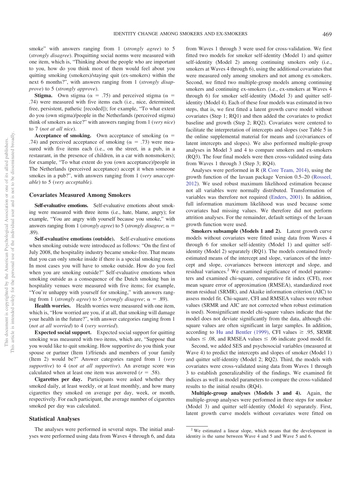smoke" with answers ranging from 1 (*strongly agree*) to 5 (*strongly disagree*). Proquitting social norms were measured with one item, which is, "Thinking about the people who are important to you, how do you think most of them would feel about you quitting smoking (smokers)/staying quit (ex-smokers) within the next 6 months?", with answers ranging from 1 (*strongly disapprove*) to 5 (*strongly approve*).

**Stigma.** Own stigma ( $\alpha = .75$ ) and perceived stigma ( $\alpha =$ .74) were measured with five items each (i.e., nice, determined, free, persistent, pathetic [recoded]); for example, "To what extent do you (own stigma)/people in the Netherlands (perceived stigma) think of smokers as nice?" with answers ranging from 1 (*very nice*) to 7 (*not at all nice*).

**Acceptance of smoking.** Own acceptance of smoking  $(\alpha =$ .74) and perceived acceptance of smoking ( $\alpha = .73$ ) were measured with five items each (i.e., on the street, in a pub, in a restaurant, in the presence of children, in a car with nonsmokers); for example, "To what extent do you (own acceptance)/people in The Netherlands (perceived acceptance) accept it when someone smokes in a pub?", with answers ranging from 1 (*very unacceptable*) to 5 (*very acceptable).*

#### **Covariates Measured Among Smokers**

**Self-evaluative emotions.** Self-evaluative emotions about smoking were measured with three items (i.e., hate, blame, angry); for example, "You are angry with yourself because you smoke," with answers ranging from 1 (*strongly agree*) to 5 (*strongly disagree*;  $\alpha$  = .89).

**Self-evaluative emotions (outside).** Self-evaluative emotions when smoking outside were introduced as follows: "On the first of July 2008, the hospitality industry became smoke-free. That means that you can only smoke inside if there is a special smoking room. In most cases you will have to smoke outside. How do you feel when you are smoking outside?" Self-evaluative emotions when smoking outside as a consequence of the Dutch smoking ban in hospitality venues were measured with five items; for example, "You're unhappy with yourself for smoking," with answers ranging from 1 (*strongly agree*) to 5 (*strongly disagree*;  $\alpha = .89$ ).

**Health worries.** Health worries were measured with one item, which is, "How worried are you, if at all, that smoking will damage your health in the future?", with answer categories ranging from 1 (*not at all worried*) to 4 (*very worried*).

**Expected social support.** Expected social support for quitting smoking was measured with two items, which are, "Suppose that you would like to quit smoking. How supportive do you think your spouse or partner (Item 1)/friends and members of your family (Item 2) would be?" Answer categories ranged from 1 (*very supportive*) to 4 (*not at all supportive*). An average score was calculated when at least one item was answered  $(r = .58)$ .

**Cigarettes per day.** Participants were asked whether they smoked daily, at least weekly, or at least monthly, and how many cigarettes they smoked on average per day, week, or month, respectively. For each participant, the average number of cigarettes smoked per day was calculated.

#### **Statistical Analyses**

The analyses were performed in several steps. The initial analyses were performed using data from Waves 4 through 6, and data

from Waves 1 through 3 were used for cross-validation. We first fitted two models for smoker self-identity (Model 1) and quitter self-identity (Model 2) among continuing smokers only (i.e., smokers at Waves 4 through 6), using the additional covariates that were measured only among smokers and not among ex-smokers. Second, we fitted two multiple-group models among continuing smokers and continuing ex-smokers (i.e., ex-smokers at Waves 4 through 6) for smoker self-identity (Model 3) and quitter selfidentity (Model 4). Each of these four models was estimated in two steps, that is, we first fitted a latent growth curve model without covariates (Step 1; RQ1) and then added the covariates to predict baseline and growth (Step 2; RQ2). Covariates were centered to facilitate the interpretation of intercepts and slopes (see Table 5 in the online supplemental material for means and (co)variances of latent intercepts and slopes). We also performed multiple-group analyses in Model 3 and 4 to compare smokers and ex-smokers (RQ3). The four final models were then cross-validated using data from Waves 1 through 3 (Step 3; RQ4).

Analyses were performed in R [\(R Core Team, 2014\)](#page-13-17), using the growth function of the lavaan package Version 0.5–20 [\(Rosseel,](#page-13-18) [2012\)](#page-13-18). We used robust maximum likelihood estimation because not all variables were normally distributed. Transformation of variables was therefore not required [\(Enders, 2001\)](#page-12-12). In addition, full information maximum likelihood was used because some covariates had missing values. We therefore did not perform attrition analyses. For the remainder, default settings of the lavaan growth function were used.

**Smokers subsample (Models 1 and 2).** Latent growth curve models without covariates were fitted using data from Waves 4 through 6 for smoker self-identity (Model 1) and quitter selfidentity (Model 2) separately (RQ1). The models contained freely estimated means of the intercept and slope, variances of the intercept and slope, covariances between intercept and slope, and residual variances.<sup>2</sup> We examined significance of model parameters and examined chi-square, comparative fit index (CFI), root mean square error of approximation (RMSEA), standardized root mean residual (SRMR), and Akaike information criterion (AIC) to assess model fit. Chi-square, CFI and RMSEA values were robust values (SRMR and AIC are not corrected when robust estimation is used). Nonsignificant model chi-square values indicate that the model does not deviate significantly from the data, although chisquare values are often significant in large samples. In addition, according to [Hu and Bentler \(1999\),](#page-13-19) CFI values  $\geq$  .95, SRMR values  $\leq$  0.08, and RMSEA values  $\leq$  0.06 indicate good model fit.

Second, we added SES and psychosocial variables (measured at Wave 4) to predict the intercepts and slopes of smoker (Model 1) and quitter self-identity (Model 2; RQ2). Third, the models with covariates were cross-validated using data from Waves 1 through 3 to establish generalizability of the findings. We examined fit indices as well as model parameters to compare the cross-validated results to the initial results (RQ4).

**Multiple-group analyses (Models 3 and 4).** Again, the multiple-group analyses were performed in three steps for smoker (Model 3) and quitter self-identity (Model 4) separately. First, latent growth curve models without covariates were fitted on

<sup>2</sup> We estimated a linear slope, which means that the development in identity is the same between Wave 4 and 5 and Wave 5 and 6.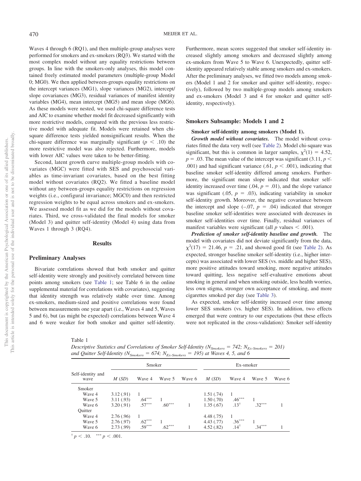Waves 4 through 6 (RQ1), and then multiple-group analyses were performed for smokers and ex-smokers (RQ3). We started with the most complex model without any equality restrictions between groups. In line with the smokers-only analyses, this model contained freely estimated model parameters (multiple-group Model 0; MG0). We then applied between-groups equality restrictions on the intercept variances (MG1), slope variances (MG2), intercept/ slope covariances (MG3), residual variances of manifest identity variables (MG4), mean intercept (MG5) and mean slope (MG6). As these models were nested, we used chi-square difference tests and AIC to examine whether model fit decreased significantly with more restrictive models, compared with the previous less restrictive model with adequate fit. Models were retained when chisquare difference tests yielded nonsignificant results. When the chi-square difference was marginally significant  $(p < .10)$  the more restrictive model was also rejected. Furthermore, models with lower AIC values were taken to be better-fitting.

Second, latent growth curve multiple-group models with covariates (MGC) were fitted with SES and psychosocial variables as time-invariant covariates, based on the best fitting model without covariates (RQ2). We fitted a baseline model without any between-groups equality restrictions on regression weights (i.e., configural invariance; MGC0) and then restricted regression weights to be equal across smokers and ex-smokers. We assessed model fit as we did for the models without covariates. Third, we cross-validated the final models for smoker (Model 3) and quitter self-identity (Model 4) using data from Waves 1 through 3 (RQ4).

#### **Results**

#### **Preliminary Analyses**

Bivariate correlations showed that both smoker and quitter self-identity were strongly and positively correlated between time points among smokers (see [Table 1;](#page-6-0) see Table 6 in the online supplemental material for correlations with covariates), suggesting that identity strength was relatively stable over time. Among ex-smokers, medium-sized and positive correlations were found between measurements one year apart (i.e., Waves 4 and 5, Waves 5 and 6), but (as might be expected) correlations between Wave 4 and 6 were weaker for both smoker and quitter self-identity. Furthermore, mean scores suggested that smoker self-identity increased slightly among smokers and decreased slightly among ex-smokers from Wave 5 to Wave 6. Unexpectedly, quitter selfidentity appeared relatively stable among smokers and ex-smokers. After the preliminary analyses, we fitted two models among smokers (Model 1 and 2 for smoker and quitter self-identity, respectively), followed by two multiple-group models among smokers and ex-smokers (Model 3 and 4 for smoker and quitter selfidentity, respectively).

#### **Smokers Subsample: Models 1 and 2**

#### **Smoker self-identity among smokers (Model 1).**

*Growth model without covariates.* The model without covariates fitted the data very well (see [Table 2\)](#page-7-0). Model chi-square was significant, but this is common in larger samples,  $\chi^2(1) = 4.52$ ,  $p = 0.03$ . The mean value of the intercept was significant (3.11,  $p <$ .001) and had significant variance (.61,  $p < .001$ ), indicating that baseline smoker self-identity differed among smokers. Furthermore, the significant mean slope indicated that smoker selfidentity increased over time  $(.04, p = .01)$ , and the slope variance was significant  $(.05, p = .03)$ , indicating variability in smoker self-identity growth. Moreover, the negative covariance between the intercept and slope  $(-.07, p = .04)$  indicated that stronger baseline smoker self-identities were associated with decreases in smoker self-identities over time. Finally, residual variances of manifest variables were significant (all  $p$  values  $\leq$  .001).

*Prediction of smoker self-identity baseline and growth.* The model with covariates did not deviate significantly from the data,  $\chi^2(17) = 21.46$ ,  $p = .21$ , and showed good fit (see [Table 2\)](#page-7-0). As expected, stronger baseline smoker self-identity (i.e., higher intercepts) was associated with lower SES (vs. middle and higher SES), more positive attitudes toward smoking, more negative attitudes toward quitting, less negative self-evaluative emotions about smoking in general and when smoking outside, less health worries, less own stigma, stronger own acceptance of smoking, and more cigarettes smoked per day (see [Table 3\)](#page-8-0).

As expected, smoker self-identity increased over time among lower SES smokers (vs. higher SES). In addition, two effects emerged that were contrary to our expectations (but these effects were not replicated in the cross-validation): Smoker self-identity

<span id="page-6-0"></span>Table 1

*Descriptive Statistics and Correlations of Smoker Self-Identity (N<sub>Smokers</sub> = 742; N<sub>Ex-Smokers</sub> = 201)* and Quitter Self-Identity ( $N_{Smokes} = 674$ ;  $N_{Ex-Smokes} = 195$ ) at Waves 4, 5, and 6

|                           |           | Smoker   |          |        | Ex-smoker  |                 |          |        |
|---------------------------|-----------|----------|----------|--------|------------|-----------------|----------|--------|
| Self-identity and<br>wave | M(SD)     | Wave 4   | Wave 5   | Wave 6 | M(SD)      | Wave 4          | Wave 5   | Wave 6 |
| Smoker                    |           |          |          |        |            |                 |          |        |
| Wave 4                    | 3.12(.91) |          |          |        | 1.51(.74)  |                 |          |        |
| Wave 5                    | 3.11(.93) | $.64***$ |          |        | 1.50(.70)  | $.46***$        |          |        |
| Wave 6                    | 3.20(.91) | $.57***$ | $.60***$ |        | 1.35(.67)  | $.13^{+}$       | $.32***$ |        |
| Ouitter                   |           |          |          |        |            |                 |          |        |
| Wave 4                    | 2.76(.96) |          |          |        | 4.48(.75)  |                 |          |        |
| Wave 5                    | 2.76(.97) | $.62***$ |          |        | 4.43(0.77) | $.36***$        |          |        |
| Wave 6                    | 2.73(.99) | $.59***$ | $.62***$ |        | 4.52(.82)  | $.14^{\dagger}$ | $.34***$ |        |
|                           |           |          |          |        |            |                 |          |        |

 $\frac{p}{p}$  < .10.  $\frac{p}{p}$  < .001.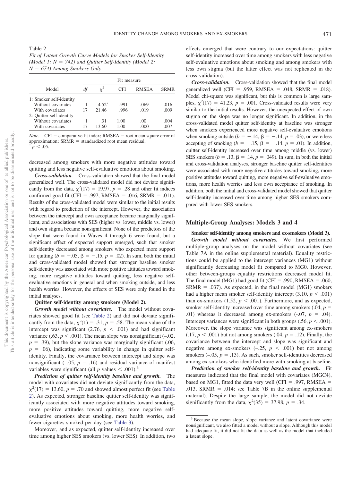<span id="page-7-0"></span>Table 2

*Fit of Latent Growth Curve Models for Smoker Self-Identity (Model 1; N* - *742) and Quitter Self-Identity (Model 2; N* - *674) Among Smokers Only*

|                          | Fit measure |         |      |              |             |  |
|--------------------------|-------------|---------|------|--------------|-------------|--|
| Model                    | df          |         | CFI  | <b>RMSEA</b> | <b>SRMR</b> |  |
| 1: Smoker self-identity  |             |         |      |              |             |  |
| Without covariates       |             | $4.52*$ | .991 | .069         | .016        |  |
| With covariates          | 17          | 21.46   | .996 | .019         | .009        |  |
| 2: Quitter self-identity |             |         |      |              |             |  |
| Without covariates       |             | .31     | 1.00 | .00          | .004        |  |
| With covariates          | 17          | 13.60   | 1.00 | .000         | .007        |  |
|                          |             |         |      |              |             |  |

*Note.*  $CFI = \text{comparative fit index; RMSEA = root mean square error of$ approximation; SRMR = standardized root mean residual.<br> $\binom{*}{}$   $\leq$  05  $p < .05$ .

decreased among smokers with more negative attitudes toward quitting and less negative self-evaluative emotions about smoking.

*Cross-validation.* Cross-validation showed that the final model generalized well. The cross-validated model did not deviate significantly from the data,  $\chi^2(17) = 19.97$ ,  $p = .28$  and other fit indices confirmed good fit (CFI = .997, RMSEA = .016, SRMR = .011). Results of the cross-validated model were similar to the initial results with regard to prediction of the intercept. However, the association between the intercept and own acceptance became marginally significant, and associations with SES (higher vs. lower, middle vs. lower) and own stigma became nonsignificant. None of the predictors of the slope that were found in Waves 4 through 6 were found, but a significant effect of expected support emerged, such that smoker self-identity decreased among smokers who expected more support for quitting  $(b = -.05, \beta = -.15, p = .02)$ . In sum, both the initial and cross-validated model showed that stronger baseline smoker self-identity was associated with more positive attitudes toward smoking, more negative attitudes toward quitting, less negative selfevaluative emotions in general and when smoking outside, and less health worries. However, the effects of SES were only found in the initial analyses.

#### **Quitter self-identity among smokers (Model 2).**

*Growth model without covariates.* The model without covariates showed good fit (see [Table 2\)](#page-7-0) and did not deviate significantly from the data,  $\chi^2(1) = .31$ ,  $p = .58$ . The mean value of the intercept was significant  $(2.76, p < .001)$  and had significant variance  $(.63, p < .001)$ . The mean slope was nonsignificant  $(-.02,$  $p = .39$ ), but the slope variance was marginally significant (.06,  $p = .06$ ), indicating some variability in change in quitter selfidentity. Finally, the covariance between intercept and slope was nonsignificant  $(-.05, p = .16)$  and residual variance of manifest variables were significant (all  $p$  values  $\leq .001$ ).<sup>3</sup>

*Prediction of quitter self-identity baseline and growth.* The model with covariates did not deviate significantly from the data,  $\chi^2(17) = 13.60, p = .70$  and showed almost perfect fit (see [Table](#page-7-0) [2\)](#page-7-0). As expected, stronger baseline quitter self-identity was significantly associated with more negative attitudes toward smoking, more positive attitudes toward quitting, more negative selfevaluative emotions about smoking, more health worries, and fewer cigarettes smoked per day (see [Table 3\)](#page-8-0).

Moreover, and as expected, quitter self-identity increased over time among higher SES smokers (vs. lower SES). In addition, two effects emerged that were contrary to our expectations: quitter self-identity increased over time among smokers with less negative self-evaluative emotions about smoking and among smokers with less own stigma (but the latter effect was not replicated in the cross-validation).

*Cross-validation.* Cross-validation showed that the final model generalized well (CFI = .959, RMSEA = .048, SRMR = .018). Model chi-square was significant, but this is common is large samples,  $\chi^2(17) = 41.23$ ,  $p = .001$ . Cross-validated results were very similar to the initial results. However, the unexpected effect of own stigma on the slope was no longer significant. In addition, in the cross-validated model quitter self-identity at baseline was stronger when smokers experienced more negative self-evaluative emotions when smoking outside ( $b = -.14$ ,  $\beta = -.14$ ,  $p = .03$ ), or were less accepting of smoking  $(b = -.15, \beta = -.14, p = .01)$ . In addition, quitter self-identity increased over time among middle (vs. lower) SES smokers ( $b = .13$ ,  $\beta = .14$ ,  $p = .049$ ). In sum, in both the initial and cross-validation analyses, stronger baseline quitter self-identities were associated with more negative attitudes toward smoking, more positive attitudes toward quitting, more negative self-evaluative emotions, more health worries and less own acceptance of smoking. In addition, both the initial and cross-validated model showed that quitter self-identity increased over time among higher SES smokers compared with lower SES smokers.

#### **Multiple-Group Analyses: Models 3 and 4**

**Smoker self-identity among smokers and ex-smokers (Model 3).** *Growth model without covariates.* We first performed multiple-group analyses on the model without covariates (see Table 7A in the online supplemental material). Equality restrictions could be applied to the intercept variances (MG1) without significantly decreasing model fit compared to MG0. However, other between-groups equality restrictions decreased model fit. The final model (MG1) had good fit (CFI = .990, RMSEA = .060,  $SRMR = .037$ ). As expected, in the final model (MG1) smokers had a higher mean smoker self-identity intercept  $(3.10, p < .001)$ than ex-smokers  $(1.52, p \leq .001)$ . Furthermore, and as expected, smoker self-identity increased over time among smokers  $(.04, p =$ .01) whereas it decreased among ex-smokers  $(-.07, p = .04)$ . Intercept variances were significant in both groups  $(.56, p < .001)$ . Moreover, the slope variance was significant among ex-smokers  $(0.17, p \le 0.001)$  but not among smokers  $(0.04, p = 0.12)$ . Finally, the covariance between the intercept and slope was significant and negative among ex-smokers  $(-.25, p < .001)$  but not among smokers  $(-.05, p = .13)$ . As such, smoker self-identities decreased among ex-smokers who identified more with smoking at baseline.

*Prediction of smoker self-identity baseline and growth.* Fit measures indicated that the final model with covariates (MGC4), based on MG1, fitted the data very well (CFI  $= .997$ , RMSEA  $=$ .013, SRMR = .014; see Table 7B in the online supplemental material). Despite the large sample, the model did not deviate significantly from the data,  $\chi^2(35) = 37.98$ ,  $p = .34$ .

<sup>&</sup>lt;sup>3</sup> Because the mean slope, slope variance and latent covariance were nonsignificant, we also fitted a model without a slope. Although this model had adequate fit, it did not fit the data as well as the model that included a latent slope.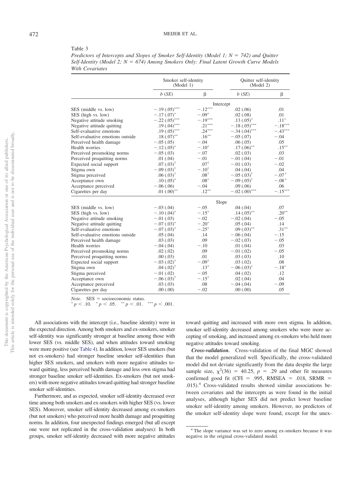<span id="page-8-0"></span>Table 3

| Predictors of Intercepts and Slopes of Smoker Self-Identity (Model 1; $N = 742$ ) and Ouitter |  |
|-----------------------------------------------------------------------------------------------|--|
| Self-Identity (Model 2; $N = 674$ ) Among Smokers Only: Final Latent Growth Curve Models      |  |
| With Covariates                                                                               |  |

|                                  | Smoker self-identity<br>(Model 1) |                  | Quitter self-identity<br>(Model 2) |              |
|----------------------------------|-----------------------------------|------------------|------------------------------------|--------------|
|                                  | $b$ (SE)                          | β                | $b$ (SE)                           | β            |
|                                  |                                   |                  | Intercept                          |              |
| SES (middle vs. low)             | $-.19(.05)$ ***                   | $-.12***$        | .02(.06)                           | .01          |
| SES (high vs. low)               | $-.17(.07)^*$                     | $-.09*$          | .02(.08)                           | .01          |
| Negative attitude smoking        | $-.22(.05)$ ***                   | $-.19***$        | $.13(.05)^*$                       | $.11^{\ast}$ |
| Negative attitude quitting       | $.19(.04)$ ***                    | $.21***$         | $-.18(.05)$ ***                    | $-.18***$    |
| Self-evaluative emotions         | .19 $(.05)$ ***                   | $.24***$         | $-.34(.04)$ ***                    | $-.43***$    |
| Self-evaluative emotions outside | $.18(.07)$ **                     | $.16***$         | $-.05(.07)$                        | $-.04$       |
| Perceived health damage          | $-.05(.05)$                       | $-.04$           | .06(.05)                           | .05          |
| Health worries                   | $-.12(.05)^*$                     | $-.10*$          | $.17(.06)$ **                      | $.15***$     |
| Perceived prosmoking norms       | $-.05(.03)$                       | $-.07$           | .02(.03)                           | .03          |
| Perceived proquitting norms      | .01(.04)                          | $-.01$           | $-.01(.04)$                        | $-.01$       |
| Expected social support          | $.07(.03)^{†}$                    | $.07^{\dagger}$  | $-.01(.03)$                        | $-.02$       |
| Stigma own                       | $-.09(.03)^*$                     | $-.10*$          | .04(.04)                           | .04          |
| Stigma perceived                 | $.06(.03)^{†}$                    | $.08^{+}$        | $-.05(.03)^{†}$                    | $-.07+$      |
| Acceptance own                   | $.10(.05)^*$                      | $.08*$           | $-.09(.05)^{\dagger}$              | $-.08+$      |
| Acceptance perceived             | $-.06(.06)$                       | $-.04$           | .09(.06)                           | .06          |
| Cigarettes per day               | .01 $(.00)$ **                    | $.12***$         | $-.02(.00)$ ***                    | $-.15***$    |
|                                  |                                   | Slope            |                                    |              |
| SES (middle vs. low)             | $-.03(.04)$                       | $-.05$           | .04(.04)                           | .07          |
| SES (high vs. low)               | $-.10(.04)^*$                     | $-.15*$          | $.14(.05)$ **                      | $.20***$     |
| Negative attitude smoking        | $-.01(.03)$                       | $-.02$           | $-.02(.04)$                        | $-.05$       |
| Negative attitude quitting       | $-.07(.03)^*$                     | $-.20*$          | .05(.04)                           | .14          |
| Self-evaluative emotions         | $-.07(.03)^*$                     | $-.25*$          | $.09(.03)$ **                      | $.31***$     |
| Self-evaluative emotions outside | .05(.04)                          | .14              | $-.06(.04)$                        | $-.15$       |
| Perceived health damage          | .03(0.03)                         | .09              | $-.02(.03)$                        | $-.05$       |
| Health worries                   | $-.04(.04)$                       | $-.10$           | .01(.04)                           | .03          |
| Perceived prosmoking norms       | .02(.02)                          | .09              | $-.01(.02)$                        | $-.05$       |
| Perceived proquitting norms      | .00(.03)                          | .01              | .03(.03)                           | .10          |
| Expected social support          | $-.03$ $(.02)^{\dagger}$          | $-.09^{\dagger}$ | .03(0.02)                          | .08          |
| Stigma own                       | $.04(.02)^{T}$                    | $.13^{+}$        | $-.06(.03)^*$                      | $-.18*$      |
| Stigma perceived                 | $-.01(.02)$                       | $-.05$           | .04(.02)                           | .12          |
| Acceptance own                   | $-.06(.03)^{†}$                   | $-.15^{\dagger}$ | .02(.04)                           | .04          |
| Acceptance perceived             | .03(0.03)                         | .08              | $-.04(.04)$                        | $-.09$       |
| Cigarettes per day               | .00(.00)                          | $-.02$           | .00(.00)                           | .05          |

 $Note.$   $SES = socioeconomic status.$ 

*Note.* SES = socioeconomic status.<br>
<sup>†</sup> *p* < .10. \* *p* < .05. \*\* *p* < .01. \*\*\* *p* < .001.

All associations with the intercept (i.e., baseline identity) were in the expected direction. Among both smokers and ex-smokers, smoker self-identity was significantly stronger at baseline among those with lower SES (vs. middle SES), and when attitudes toward smoking were more positive (see [Table 4\)](#page-9-0). In addition, lower SES smokers (but not ex-smokers) had stronger baseline smoker self-identities than higher SES smokers, and smokers with more negative attitudes toward quitting, less perceived health damage and less own stigma had stronger baseline smoker self-identities. Ex-smokers (but not smokers) with more negative attitudes toward quitting had stronger baseline smoker self-identities.

Furthermore, and as expected, smoker self-identity decreased over time among both smokers and ex-smokers with higher SES (vs. lower SES). Moreover, smoker self-identity decreased among ex-smokers (but not smokers) who perceived more health damage and proquitting norms. In addition, four unexpected findings emerged (but all except one were not replicated in the cross-validation analyses): In both groups, smoker self-identity decreased with more negative attitudes toward quitting and increased with more own stigma. In addition, smoker self-identity decreased among smokers who were more accepting of smoking, and increased among ex-smokers who held more negative attitudes toward smoking.

*Cross-validation.* Cross-validation of the final MGC showed that the model generalized well. Specifically, the cross-validated model did not deviate significantly from the data despite the large sample size,  $\chi^2(36) = 40.25$ ,  $p = .29$  and other fit measures confirmed good fit (CFI = .995, RMSEA = .018, SRMR = .015).4 Cross-validated results showed similar associations between covariates and the intercepts as were found in the initial analyses, although higher SES did not predict lower baseline smoker self-identity among smokers. However, no predictors of the smoker self-identity slope were found, except for the unex-

<sup>4</sup> The slope variance was set to zero among ex-smokers because it was negative in the original cross-validated model.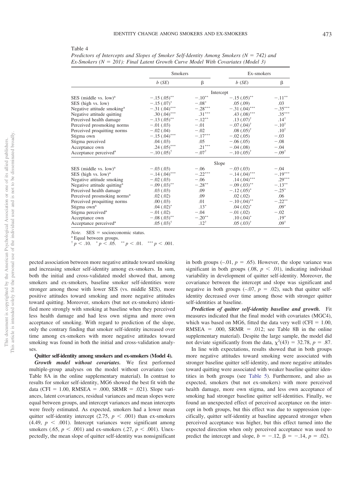<span id="page-9-0"></span>

|--|--|

|                                         | <b>Smokers</b>            |                       | Ex-smokers              |                   |  |  |
|-----------------------------------------|---------------------------|-----------------------|-------------------------|-------------------|--|--|
|                                         | b(SE)                     | β                     | b(SE)                   | β                 |  |  |
|                                         | Intercept                 |                       |                         |                   |  |  |
| SES (middle vs. low) <sup>a</sup>       | $-.15(.05)$ **            | $-.10**$              | $-.15(.05)$ **          | $-.11^{\ast\ast}$ |  |  |
| SES (high vs. low)                      | $-.15(.07)^*$             | $-.08*$               | .05(.09)                | .03               |  |  |
| Negative attitude smoking <sup>a</sup>  | $-.31(.04)$ ***           | $-.28^{\ast\ast\ast}$ | $-.31(.04)$ ***         | $-.35***$         |  |  |
| Negative attitude quitting              | .30 $(.04)^{***}$         | $.31***$              | .43 $(.08)$ ***         | $.35***$          |  |  |
| Perceived health damage                 | $-.13(.05)$ <sup>**</sup> | $-.12**$              | $.13$ $(.07)^{\dagger}$ | $.14^{+}$         |  |  |
| Perceived prosmoking norms              | $-.01(.03)$               | $-.01$                | $-.07(.04)^{\dagger}$   | $-.10^{+}$        |  |  |
| Perceived proquitting norms             | $-.02(.04)$               | $-.02$                | $.08(.05)^{+}$          | $.10^{\dagger}$   |  |  |
| Stigma own                              | $-.15(.04)$ ***           | $-.17***$             | $-.02(.05)$             | $-.03$            |  |  |
| Stigma perceived                        | .04(.03)                  | .05                   | $-.06(.05)$             | $-.08$            |  |  |
| Acceptance own                          | .24 $(.05)$ ***           | $.21***$              | $-.04(.08)$             | $-.04$            |  |  |
| Acceptance perceived <sup>a</sup>       | $-.10(.05)^{\dagger}$     | $-.07^{\dagger}$      | $-.10(.05)^{+}$         | $-.09^{\dagger}$  |  |  |
|                                         | Slope                     |                       |                         |                   |  |  |
| SES (middle vs. low) <sup>a</sup>       | $-.03(.03)$               | $-.06$                | $-.03(.03)$             | $-.04$            |  |  |
| SES (high vs. low) <sup>a</sup>         | $-.14(.04)$ ***           | $-.22***$             | $-.14(.04)$ ***         | $-.19***$         |  |  |
| Negative attitude smoking               | $-.02(.03)$               | $-.06$                | $.14(.04)$ ***          | $.29***$          |  |  |
| Negative attitude quitting <sup>a</sup> | $-.09(.03)$ **            | $-.28***$             | $-.09(.03)$ **          | $-.13***$         |  |  |
| Perceived health damage                 | .03(0.03)                 | .09                   | $-.12(.05)^*$           | $-.25*$           |  |  |
| Perceived prosmoking norms <sup>a</sup> | .02(.02)                  | .09                   | .02(.02)                | .06               |  |  |
| Perceived proquitting norms             | .00(.03)                  | .01                   | $-.10(.04)$ **          | $-.22**$          |  |  |
| Stigma own <sup>a</sup>                 | $.04(.02)^*$              | $.13*$                | $.04(.02)^*$            | $.09*$            |  |  |
| Stigma perceived <sup>a</sup>           | $-.01(.02)$               | $-.04$                | $-.01(.02)$             | $-.02$            |  |  |
| Acceptance own                          | $-.08(.03)$ **            | $-.20**$              | $.10(.04)^*$            | $.19*$            |  |  |
| Acceptance perceived <sup>a</sup>       | $.05(.03)^{\dagger}$      | $.12^{\dagger}$       | $.05(.03)^{†}$          | $.09^{+}$         |  |  |

*Predictors of Intercepts and Slopes of Smoker Self-Identity Among Smokers (N = 742) and* Ex-Smokers (N = 201): Final Latent Growth Curve Model With Covariates (Model 3)

*Note.* SES = socioeconomic status.<br><sup>a</sup> Equal between groups.

 $\frac{p}{p}$  < .10.  $\frac{*}{p}$  < .05.  $\frac{*}{p}$  < .01.  $\frac{***}{p}$  < .001.

pected association between more negative attitude toward smoking and increasing smoker self-identity among ex-smokers. In sum, both the initial and cross-validated model showed that, among smokers and ex-smokers, baseline smoker self-identities were stronger among those with lower SES (vs. middle SES), more positive attitudes toward smoking and more negative attitudes toward quitting. Moreover, smokers (but not ex-smokers) identified more strongly with smoking at baseline when they perceived less health damage and had less own stigma and more own acceptance of smoking. With regard to prediction of the slope, only the contrary finding that smoker self-identity increased over time among ex-smokers with more negative attitudes toward smoking was found in both the initial and cross-validation analyses.

### **Quitter self-identity among smokers and ex-smokers (Model 4).**

*Growth model without covariates.* We first performed multiple-group analyses on the model without covariates (see Table 8A in the online supplementary material). In contrast to results for smoker self-identity, MG6 showed the best fit with the data (CFI =  $1.00$ , RMSEA =  $.000$ , SRMR =  $.021$ ). Slope variances, latent covariances, residual variances and mean slopes were equal between groups, and intercept variances and mean intercepts were freely estimated. As expected, smokers had a lower mean quitter self-identity intercept  $(2.75, p \lt .001)$  than ex-smokers  $(4.49, p < .001)$ . Intercept variances were significant among smokers (.65,  $p < .001$ ) and ex-smokers (.27,  $p < .001$ ). Unexpectedly, the mean slope of quitter self-identity was nonsignificant

in both groups  $(-.01, p = .65)$ . However, the slope variance was significant in both groups  $(0.08, p \le 0.01)$ , indicating individual variability in development of quitter self-identity. Moreover, the covariance between the intercept and slope was significant and negative in both groups  $(-.07, p = .02)$ , such that quitter selfidentity decreased over time among those with stronger quitter self-identities at baseline.

*Prediction of quitter self-identity baseline and growth.* Fit measures indicated that the final model with covariates (MGC4), which was based on MG6, fitted the data very well (CFI  $= 1.00$ ,  $RMSEA = .000$ ,  $SRMR = .012$ ; see Table 8B in the online supplementary material). Despite the large sample, the model did not deviate significantly from the data,  $\chi^2(43) = 32.78$ ,  $p = .87$ .

In line with expectations, results showed that in both groups more negative attitudes toward smoking were associated with stronger baseline quitter self-identity, and more negative attitudes toward quitting were associated with weaker baseline quitter identities in both groups (see [Table 5\)](#page-10-0). Furthermore, and also as expected, smokers (but not ex-smokers) with more perceived health damage, more own stigma, and less own acceptance of smoking had stronger baseline quitter self-identities. Finally, we found an unexpected effect of perceived acceptance on the intercept in both groups, but this effect was due to suppression (specifically, quitter self-identity at baseline appeared stronger when perceived acceptance was higher, but this effect turned into the expected direction when only perceived acceptance was used to predict the intercept and slope,  $b = -.12$ ,  $\beta = -.14$ ,  $p = .02$ ).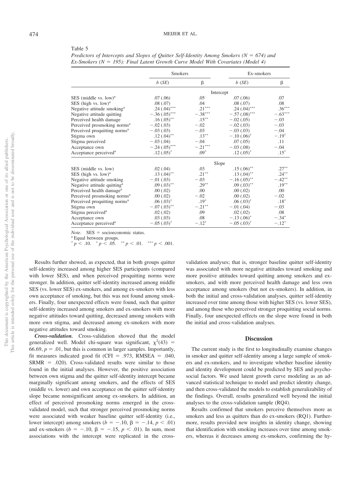#### <span id="page-10-0"></span>Table 5

| Predictors of Intercepts and Slopes of Quitter Self-Identity Among Smokers ( $N = 674$ ) and |  |  |
|----------------------------------------------------------------------------------------------|--|--|
| Ex-Smokers ( $N = 195$ ): Final Latent Growth Curve Model With Covariates (Model 4)          |  |  |

|                                          | Smokers               |                  | Ex-smokers            |                  |  |  |
|------------------------------------------|-----------------------|------------------|-----------------------|------------------|--|--|
|                                          | b(SE)                 | β                | b(SE)                 | β                |  |  |
|                                          |                       |                  | Intercept             |                  |  |  |
| SES (middle vs. low) <sup>a</sup>        | .07(.06)              | .05              | .07(.06)              | .07              |  |  |
| SES (high vs. low) <sup>a</sup>          | .08(.07)              | .04              | .08(.07)              | .08              |  |  |
| Negative attitude smoking <sup>a</sup>   | $.24(.04)$ ***        | $.21***$         | $.24(.04)$ ***        | $.36***$         |  |  |
| Negative attitude quitting               | $-.36(.05)$ ***       | $-.38***$        | $-.57(.08)$ ***       | $-.63***$        |  |  |
| Perceived health damage                  | $.16(.05)$ **         | $.15***$         | $-.02(.05)$           | $-.03$           |  |  |
| Perceived prosmoking norms <sup>a</sup>  | $-.02(.03)$           | $-.02$           | $-.02(.03)$           | $-.03$           |  |  |
| Perceived proquitting norms <sup>a</sup> | $-.03(.03)$           | $-.03$           | $-.03(.03)$           | $-.04$           |  |  |
| Stigma own                               | $.12(.04)$ **         | $.13***$         | $-.10(.06)^{\dagger}$ | $-.19^{\dagger}$ |  |  |
| Stigma perceived                         | $-.03(.04)$           | $-.04$           | .07(.05)              | .11              |  |  |
| Acceptance own                           | $-.24(.05)$ ***       | $-.21***$        | $-.03(.08)$           | $-.04$           |  |  |
| Acceptance perceived <sup>a</sup>        | $.12(.05)^*$          | $.09*$           | $.12(.05)^*$          | $.15*$           |  |  |
|                                          | Slope                 |                  |                       |                  |  |  |
| SES (middle vs. low)                     | .02(.04)              | .03              | $.15(.06)$ **         | $.27***$         |  |  |
| SES (high vs. low) <sup>a</sup>          | $.13(.04)$ **         | $.21***$         | $.13(0.04)$ **        | $.24***$         |  |  |
| Negative attitude smoking                | $-.01(.03)$           | $-.03$           | $-.16(.05)$ **        | $-.42**$         |  |  |
| Negative attitude quitting <sup>a</sup>  | $.09(.03)$ **         | $.29***$         | $.09(.03)$ **         | $.19***$         |  |  |
| Perceived health damage <sup>a</sup>     | .00(.02)              | .00              | .00(.02)              | .00              |  |  |
| Perceived prosmoking norms <sup>a</sup>  | .00(.02)              | $-.02$           | .00(.02)              | $-.02$           |  |  |
| Perceived proquitting norms <sup>a</sup> | $.06(.03)^*$          | $.19*$           | $.06(.03)^*$          | $.18*$           |  |  |
| Stigma own                               | $-.07(.03)$ **        | $-.21***$        | $-.01(.04)$           | $-.03$           |  |  |
| Stigma perceived <sup>a</sup>            | .02(.02)              | .09              | .02(.02)              | .08              |  |  |
| Acceptance own                           | .03(0.03)             | .08              | $-.13(.06)^*$         | $-.34*$          |  |  |
| Acceptance perceived <sup>a</sup>        | $-.05(.03)^{\dagger}$ | $-.12^{\dagger}$ | $-.05(.03)^{†}$       | $-.12^{\dagger}$ |  |  |

*Note.* SES = socioeconomic status.<br><sup>a</sup> Equal between groups.

 $\frac{p}{p}$  < .10.  $\frac{*}{p}$  < .05.  $\frac{*}{p}$  < .01.  $\frac{***}{p}$  < .001.

Results further showed, as expected, that in both groups quitter self-identity increased among higher SES participants (compared with lower SES), and when perceived proquitting norms were stronger. In addition, quitter self-identity increased among middle SES (vs. lower SES) ex-smokers, and among ex-smokers with less own acceptance of smoking, but this was not found among smokers. Finally, four unexpected effects were found, such that quitter self-identity increased among smokers and ex-smokers with more negative attitudes toward quitting, decreased among smokers with more own stigma, and decreased among ex-smokers with more negative attitudes toward smoking.

*Cross-validation.* Cross-validation showed that the model generalized well. Model chi-square was significant,  $\chi^2(43)$  =  $66.69$ ,  $p = .01$ , but this is common in larger samples. Importantly, fit measures indicated good fit (CFI = .973, RMSEA = .040,  $SRMR = .020$ ). Cross-validated results were similar to those found in the initial analyses. However, the positive association between own stigma and the quitter self-identity intercept became marginally significant among smokers, and the effects of SES (middle vs. lower) and own acceptance on the quitter self-identity slope became nonsignificant among ex-smokers. In addition, an effect of perceived prosmoking norms emerged in the crossvalidated model, such that stronger perceived prosmoking norms were associated with weaker baseline quitter self-identity (i.e., lower intercept) among smokers  $(b = -.10, \beta = -.14, p < .01)$ and ex-smokers ( $b = -.10$ ,  $\beta = -.15$ ,  $p < .01$ ). In sum, most associations with the intercept were replicated in the cross-

validation analyses; that is, stronger baseline quitter self-identity was associated with more negative attitudes toward smoking and more positive attitudes toward quitting among smokers and exsmokers, and with more perceived health damage and less own acceptance among smokers (but not ex-smokers). In addition, in both the initial and cross-validation analyses, quitter self-identity increased over time among those with higher SES (vs. lower SES), and among those who perceived stronger proquitting social norms. Finally, four unexpected effects on the slope were found in both the initial and cross-validation analyses.

#### **Discussion**

The current study is the first to longitudinally examine changes in smoker and quitter self-identity among a large sample of smokers and ex-smokers, and to investigate whether baseline identity and identity development could be predicted by SES and psychosocial factors. We used latent growth curve modeling as an advanced statistical technique to model and predict identity change, and then cross-validated the models to establish generalizability of the findings. Overall, results generalized well beyond the initial analyses to the cross-validation sample (RQ4).

Results confirmed that smokers perceive themselves more as smokers and less as quitters than do ex-smokers (RQ1). Furthermore, results provided new insights in identity change, showing that identification with smoking increases over time among smokers, whereas it decreases among ex-smokers, confirming the hy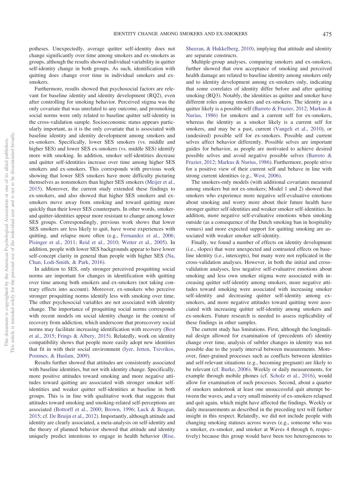potheses. Unexpectedly, average quitter self-identity does not change significantly over time among smokers and ex-smokers as groups, although the results showed individual variability in quitter self-identity change in both groups. As such, identification with quitting does change over time in individual smokers and exsmokers.

Furthermore, results showed that psychosocial factors are relevant for baseline identity and identity development (RQ2), even after controlling for smoking behavior. Perceived stigma was the only covariate that was unrelated to any outcome, and prosmoking social norms were only related to baseline quitter self-identity in the cross-validation sample. Socioeconomic status appears particularly important, as it is the only covariate that is associated with baseline identity and identity development among smokers and ex-smokers. Specifically, lower SES smokers (vs. middle and higher SES) and lower SES ex-smokers (vs. middle SES) identify more with smoking. In addition, smoker self-identities decrease and quitter self-identities increase over time among higher SES smokers and ex-smokers. This corresponds with previous work showing that lower SES smokers have more difficulty picturing themselves as nonsmokers than higher SES smokers [\(Meijer et al.,](#page-13-4) [2015\)](#page-13-4). Moreover, the current study extended these findings to ex-smokers, and also showed that higher SES smokers and exsmokers move away from smoking and toward quitting more quickly than their lower SES counterparts. In other words, smokerand quitter-identities appear more resistant to change among lower SES groups. Correspondingly, previous work shows that lower SES smokers are less likely to quit, have worse experiences with quitting, and relapse more often (e.g., [Fernandez et al., 2006;](#page-12-13) [Pisinger et al., 2011;](#page-13-20) [Reid et al., 2010;](#page-13-21) [Wetter et al., 2005\)](#page-14-7). In addition, people with lower SES backgrounds appear to have lower self-concept clarity in general than people with higher SES [\(Na,](#page-13-22) [Chan, Lodi-Smith, & Park, 2016\)](#page-13-22).

In addition to SES, only stronger perceived proquitting social norms are important for changes in identification with quitting over time among both smokers and ex-smokers (not taking contrary effects into account). Moreover, ex-smokers who perceive stronger proquitting norms identify less with smoking over time. The other psychosocial variables are not associated with identity change. The importance of proquitting social norms corresponds with recent models on social identity change in the context of recovery from addiction, which underscore that prorecovery social norms may facilitate increasing identification with recovery [\(Best](#page-12-10) [et al., 2015;](#page-12-10) [Frings & Albery, 2015\)](#page-12-9). Relatedly, work on identity compatibility shows that people more easily adopt new identities that fit in with their social environment [\(Iyer, Jetten, Tsivrikos,](#page-13-23) [Postmes, & Haslam, 2009\)](#page-13-23).

Results further showed that attitudes are consistently associated with baseline identities, but not with identity change. Specifically, more positive attitudes toward smoking and more negative attitudes toward quitting are associated with stronger smoker selfidentities and weaker quitter self-identities at baseline in both groups. This is in line with qualitative work that suggests that attitudes toward smoking and smoking-related self-perceptions are associated [\(Bottorff et al., 2000;](#page-12-5) [Brown, 1996;](#page-12-2) [Luck & Beagan,](#page-13-9) [2015;](#page-13-9) cf. [De Bruijn et al., 2012\)](#page-12-14). Importantly, although attitude and identity are clearly associated, a meta-analysis on self-identity and the theory of planned behavior showed that attitude and identity uniquely predict intentions to engage in health behavior [\(Rise,](#page-13-24)

[Sheeran, & Hukkelberg, 2010\)](#page-13-24), implying that attitude and identity are separate constructs.

Multiple-group analyses, comparing smokers and ex-smokers, further showed that own acceptance of smoking and perceived health damage are related to baseline identity among smokers only and to identity development among ex-smokers only, indicating that some correlates of identity differ before and after quitting smoking (RQ3). Notably, the identities as quitter and smoker have different roles among smokers and ex-smokers. The identity as a quitter likely is a possible self [\(Barreto & Frazier, 2012;](#page-12-4) [Markus &](#page-13-12) [Nurius, 1986\)](#page-13-12) for smokers and a current self for ex-smokers, whereas the identity as a smoker likely is a current self for smokers, and may be a past, current [\(Vangeli et al., 2010\)](#page-14-5), or (undesired) possible self for ex-smokers. Possible and current selves affect behavior differently. Possible selves are important guides for behavior, as people are motivated to achieve desired possible selves and avoid negative possible selves [\(Barreto &](#page-12-4) [Frazier, 2012;](#page-12-4) [Markus & Nurius, 1986\)](#page-13-12). Furthermore, people strive for a positive view of their current self and behave in line with strong current identities (e.g., [West, 2006\)](#page-14-0).

The smokers-only models (with additional covariates measured among smokers but not ex-smokers; Model 1 and 2) showed that smokers who experience more negative self-evaluative emotions about smoking and worry more about their future health have stronger quitter self-identities and weaker smoker self-identities. In addition, more negative self-evaluative emotions when smoking outside (as a consequence of the Dutch smoking ban in hospitality venues) and more expected support for quitting smoking are associated with weaker smoker self-identity.

Finally, we found a number of effects on identity development (i.e., slopes) that were unexpected and contrasted effects on baseline identity (i.e., intercepts), but many were not replicated in the cross-validation analyses. However, in both the initial and crossvalidation analyses, less negative self-evaluative emotions about smoking and less own smoker stigma were associated with increasing quitter self-identity among smokers, more negative attitudes toward smoking were associated with increasing smoker self-identity and decreasing quitter self-identity among exsmokers, and more negative attitudes toward quitting were associated with increasing quitter self-identity among smokers and ex-smokers. Future research is needed to assess replicability of these findings in other samples.

The current study has limitations. First, although the longitudinal design allowed for examination of (precedents of) identity change over time, analysis of subtler changes in identity was not possible due to the yearly interval between measurements. Moreover, finer-grained processes such as conflicts between identities and self-relevant situations (e.g., becoming pregnant) are likely to be relevant (cf. [Burke, 2006\)](#page-12-7). Weekly or daily measurements, for example through mobile phones (cf. [Scholz et al., 2016\)](#page-13-25), would allow for examination of such processes. Second, about a quarter of smokers undertook at least one unsuccessful quit attempt between the waves, and a very small minority of ex-smokers relapsed and quit again, which might have affected the findings. Weekly or daily measurements as described in the preceding text will further insight in this respect. Relatedly, we did not include people with changing smoking statuses across waves (e.g., someone who was a smoker, ex-smoker, and smoker at Waves 4 through 6, respectively) because this group would have been too heterogeneous to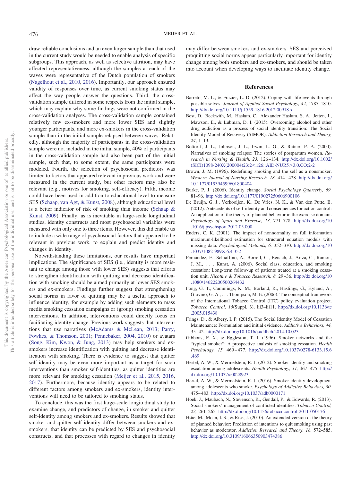draw reliable conclusions and an even larger sample than that used in the current study would be needed to enable analysis of specific subgroups. This approach, as well as selective attrition, may have affected representativeness, although the samples at each of the waves were representative of the Dutch population of smokers [\(Nagelhout et al., 2010,](#page-13-14) [2016\)](#page-13-15). Importantly, our approach ensured validity of responses over time, as current smoking status may affect the way people answer the questions. Third, the crossvalidation sample differed in some respects from the initial sample, which may explain why some findings were not confirmed in the cross-validation analyses. The cross-validation sample contained relatively few ex-smokers and more lower SES and slightly younger participants, and more ex-smokers in the cross-validation sample than in the initial sample relapsed between waves. Relatedly, although the majority of participants in the cross-validation sample were not included in the initial sample, 40% of participants in the cross-validation sample had also been part of the initial sample, such that, to some extent, the same participants were modeled. Fourth, the selection of psychosocial predictors was limited to factors that appeared relevant in previous work and were measured in the current study, but other factors may also be relevant (e.g., motives for smoking, self-efficacy). Fifth, income could have been used in addition to educational level to measure SES [\(Schaap, van Agt, & Kunst, 2008\)](#page-13-16), although educational level is a better indicator of risk of smoking than income [\(Schaap &](#page-13-26) [Kunst, 2009\)](#page-13-26). Finally, as is inevitable in large-scale longitudinal studies, identity constructs and most psychosocial variables were measured with only one to three items. However, this did enable us to include a wide range of psychosocial factors that appeared to be relevant in previous work, to explain and predict identity and changes in identity.

Notwithstanding these limitations, our results have important implications. The significance of SES (i.e., identity is more resistant to change among those with lower SES) suggests that efforts to strengthen identification with quitting and decrease identification with smoking should be aimed primarily at lower SES smokers and ex-smokers. Findings further suggest that strengthening social norms in favor of quitting may be a useful approach to influence identity, for example by adding such elements to mass media smoking cessation campaigns or (group) smoking cessation interventions. In addition, interventions could directly focus on facilitating identity change. Previous work suggests that interventions that use narratives [\(McAdams & McLean, 2013;](#page-13-27) [Parry,](#page-13-28) [Fowkes, & Thomson, 2001;](#page-13-28) [Pennebaker, 2004,](#page-13-29) [2010\)](#page-13-30) or avatars [\(Song, Kim, Kwon, & Jung, 2013\)](#page-13-31) may help smokers and exsmokers increase identification with quitting and decrease identification with smoking. There is evidence to suggest that quitter self-identity may be even more important as a target for such interventions than smoker self-identities, as quitter identities are more relevant for smoking cessation [\(Meijer et al., 2015,](#page-13-4) [2016,](#page-13-5) [2017\)](#page-13-6). Furthermore, because identity appears to be related to different factors among smokers and ex-smokers, identity interventions will need to be tailored to smoking status.

To conclude, this was the first large-scale longitudinal study to examine change, and predictors of change, in smoker and quitter self-identity among smokers and ex-smokers. Results showed that smoker and quitter self-identity differ between smokers and exsmokers, that identity can be predicted by SES and psychosocial constructs, and that processes with regard to changes in identity

may differ between smokers and ex-smokers. SES and perceived proquitting social norms appear particularly important for identity change among both smokers and ex-smokers, and should be taken into account when developing ways to facilitate identity change.

#### **References**

- <span id="page-12-4"></span>Barreto, M. L., & Frazier, L. D. (2012). Coping with life events through possible selves. *Journal of Applied Social Psychology, 42,* 1785–1810. <http://dx.doi.org/10.1111/j.1559-1816.2012.00918.x>
- <span id="page-12-10"></span>Best, D., Beckwith, M., Haslam, C., Alexander Haslam, S. A., Jetten, J., Mawson, E., & Lubman, D. I. (2015). Overcoming alcohol and other drug addiction as a process of social identity transition: The Social Identity Model of Recovery (SIMOR). *Addiction Research and Theory, 24*, 1–13.
- <span id="page-12-5"></span>Bottorff, J. L., Johnson, J. L., Irwin, L. G., & Ratner, P. A. (2000). Narratives of smoking relapse: The stories of postpartum women. *Research in Nursing & Health, 23,* 126 –134. [http://dx.doi.org/10.1002/](http://dx.doi.org/10.1002/%28SICI%291098-240X%28200004%2923:2%3C126::AID-NUR5%3E3.0.CO;2-2)  $(SICI)1098-240X(200004)23:2<126::AID-NUR5>3.0.CO;2-2$  $(SICI)1098-240X(200004)23:2<126::AID-NUR5>3.0.CO;2-2$
- <span id="page-12-2"></span>Brown, J. M. (1996). Redefining smoking and the self as a nonsmoker. *Western Journal of Nursing Research, 18,* 414 – 428. [http://dx.doi.org/](http://dx.doi.org/10.1177/019394599601800404) [10.1177/019394599601800404](http://dx.doi.org/10.1177/019394599601800404)
- <span id="page-12-7"></span>Burke, P. J. (2006). Identity change. *Social Psychology Quarterly, 69,* 81–96. <http://dx.doi.org/10.1177/019027250606900106>
- <span id="page-12-14"></span>De Bruijn, G. J., Verkooijen, K., De Vries, N. K., & Van den Putte, B. (2012). Antecedents of self-identity and consequences for action control: An application of the theory of planned behavior in the exercise domain. *Psychology of Sport and Exercise, 13,* 771–778. [http://dx.doi.org/10](http://dx.doi.org/10.1016/j.psychsport.2012.05.008) [.1016/j.psychsport.2012.05.008](http://dx.doi.org/10.1016/j.psychsport.2012.05.008)
- <span id="page-12-12"></span>Enders, C. K. (2001). The impact of nonnormality on full information maximum-likelihood estimation for structural equation models with missing data. *Psychological Methods, 6,* 352–370. [http://dx.doi.org/10](http://dx.doi.org/10.1037/1082-989X.6.4.352) [.1037/1082-989X.6.4.352](http://dx.doi.org/10.1037/1082-989X.6.4.352)
- <span id="page-12-13"></span>Fernández, E., Schiaffino, A., Borrell, C., Benach, J., Ariza, C., Ramon, J. M., . . . Kunst, A. (2006). Social class, education, and smoking cessation: Long-term follow-up of patients treated at a smoking cessation unit. *Nicotine & Tobacco Research, 8,* 29 –36. [http://dx.doi.org/10](http://dx.doi.org/10.1080/14622200500264432) [.1080/14622200500264432](http://dx.doi.org/10.1080/14622200500264432)
- <span id="page-12-11"></span>Fong, G. T., Cummings, K. M., Borland, R., Hastings, G., Hyland, A., Giovino, G. A.,... Thompson, M. E. (2006). The conceptual framework of the International Tobacco Control (ITC) policy evaluation project. *Tobacco Control, 15*(Suppl. 3), iii3–iii11. [http://dx.doi.org/10.1136/tc](http://dx.doi.org/10.1136/tc.2005.015438) [.2005.015438](http://dx.doi.org/10.1136/tc.2005.015438)
- <span id="page-12-9"></span>Frings, D., & Albery, I. P. (2015). The Social Identity Model of Cessation Maintenance: Formulation and initial evidence. *Addictive Behaviors, 44,* 35– 42. <http://dx.doi.org/10.1016/j.addbeh.2014.10.023>
- <span id="page-12-6"></span>Gibbons, F. X., & Eggleston, T. J. (1996). Smoker networks and the "typical smoker": A prospective analysis of smoking cessation. *Health Psychology, 15,* 469 – 477. [http://dx.doi.org/10.1037/0278-6133.15.6](http://dx.doi.org/10.1037/0278-6133.15.6.469) [.469](http://dx.doi.org/10.1037/0278-6133.15.6.469)
- <span id="page-12-0"></span>Hertel, A. W., & Mermelstein, R. J. (2012). Smoker identity and smoking escalation among adolescents. *Health Psychology, 31, 467-475*. [http://](http://dx.doi.org/10.1037/a0028923) [dx.doi.org/10.1037/a0028923](http://dx.doi.org/10.1037/a0028923)
- <span id="page-12-3"></span>Hertel, A. W., & Mermelstein, R. J. (2016). Smoker identity development among adolescents who smoke. *Psychology of Addictive Behaviors, 30,* 475– 483. <http://dx.doi.org/10.1037/adb0000171>
- <span id="page-12-8"></span>Hoek, J., Maubach, N., Stevenson, R., Gendall, P., & Edwards, R. (2013). Social smokers' management of conflicted identities. *Tobacco Control, 22,* 261–265. <http://dx.doi.org/10.1136/tobaccocontrol-2011-050176>
- <span id="page-12-1"></span>Høie, M., Moan, I. S., & Rise, J. (2010). An extended version of the theory of planned behavior: Prediction of intentions to quit smoking using past behavior as moderator. *Addiction Research and Theory, 18,* 572–585. <http://dx.doi.org/10.3109/16066350903474386>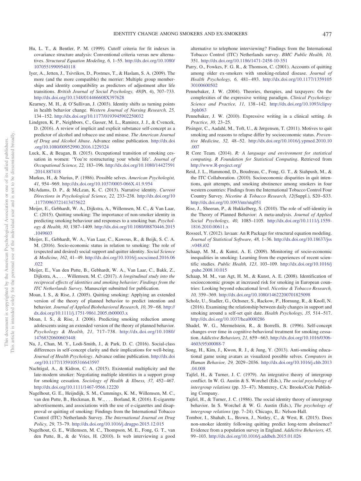- <span id="page-13-19"></span>Hu, L. T., & Bentler, P. M. (1999). Cutoff criteria for fit indexes in covariance structure analysis: Conventional criteria versus new alternatives. *Structural Equation Modeling, 6,* 1–55. [http://dx.doi.org/10.1080/](http://dx.doi.org/10.1080/10705519909540118) [10705519909540118](http://dx.doi.org/10.1080/10705519909540118)
- <span id="page-13-23"></span>Iyer, A., Jetten, J., Tsivrikos, D., Postmes, T., & Haslam, S. A. (2009). The more (and the more compatible) the merrier: Multiple group memberships and identity compatibility as predictors of adjustment after life transitions. *British Journal of Social Psychology, 48*(Pt. 4), 707–733. <http://dx.doi.org/10.1348/014466608X397628>
- <span id="page-13-13"></span>Kearney, M. H., & O'Sullivan, J. (2003). Identity shifts as turning points in health behavior change. *Western Journal of Nursing Research, 25,* 134 –152. <http://dx.doi.org/10.1177/0193945902250032>
- <span id="page-13-0"></span>Lindgren, K. P., Neighbors, C., Gasser, M. L., Ramirez, J. J., & Cvencek, D. (2016). A review of implicit and explicit substance self-concept as a predictor of alcohol and tobacco use and misuse. *The American Journal of Drug and Alcohol Abuse*. Advance online publication. [http://dx.doi](http://dx.doi.org/10.1080/00952990.2016.1229324) [.org/10.1080/00952990.2016.1229324](http://dx.doi.org/10.1080/00952990.2016.1229324)
- <span id="page-13-9"></span>Luck, K., & Beagan, B. (2015). Occupational transition of smoking cessation in women: 'You're restructuring your whole life'. *Journal of Occupational Science, 22,* 183–196. [http://dx.doi.org/10.1080/14427591](http://dx.doi.org/10.1080/14427591.2014.887418) [.2014.887418](http://dx.doi.org/10.1080/14427591.2014.887418)
- <span id="page-13-12"></span>Markus, H., & Nurius, P. (1986). Possible selves. *American Psychologist, 41,* 954 –969. <http://dx.doi.org/10.1037/0003-066X.41.9.954>
- <span id="page-13-27"></span>McAdams, D. P., & McLean, K. C. (2013). Narrative identity. *Current Directions in Psychological Science, 22,* 233–238. [http://dx.doi.org/10](http://dx.doi.org/10.1177/0963721413475622) [.1177/0963721413475622](http://dx.doi.org/10.1177/0963721413475622)
- <span id="page-13-4"></span>Meijer, E., Gebhardt, W. A., Dijkstra, A., Willemsen, M. C., & Van Laar, C. (2015). Quitting smoking: The importance of non-smoker identity in predicting smoking behaviour and responses to a smoking ban. *Psychology & Health, 30,* 1387–1409. [http://dx.doi.org/10.1080/08870446.2015](http://dx.doi.org/10.1080/08870446.2015.1049603) [.1049603](http://dx.doi.org/10.1080/08870446.2015.1049603)
- <span id="page-13-5"></span>Meijer, E., Gebhardt, W. A., Van Laar, C., Kawous, R., & Beijk, S. C. A. M. (2016). Socio-economic status in relation to smoking: The role of (expected and desired) social support and quitter identity. *Social Science & Medicine, 162,* 41– 49. [http://dx.doi.org/10.1016/j.socscimed.2016.06](http://dx.doi.org/10.1016/j.socscimed.2016.06.022) [.022](http://dx.doi.org/10.1016/j.socscimed.2016.06.022)
- <span id="page-13-6"></span>Meijer, E., Van den Putte, B., Gebhardt, W. A., Van Laar, C., Bakk, Z., Dijkstra, A.,... Willemsen, M. C. (2017). *A longitudinal study into the reciprocal effects of identities and smoking behavior: Findings from the ITC Netherlands Survey*. Manuscript submitted for publication.
- <span id="page-13-7"></span>Moan, I. S., & Rise, J. (2005). Quitting smoking: Applying an extended version of the theory of planned behavior to predict intention and behavior. *Journal of Applied Biobehavioral Research, 10,* 39 – 68. [http://](http://dx.doi.org/10.1111/j.1751-9861.2005.tb00003.x) [dx.doi.org/10.1111/j.1751-9861.2005.tb00003.x](http://dx.doi.org/10.1111/j.1751-9861.2005.tb00003.x)
- <span id="page-13-8"></span>Moan, I. S., & Rise, J. (2006). Predicting smoking reduction among adolescents using an extended version of the theory of planned behavior. *Psychology & Health, 21,* 717–738. [http://dx.doi.org/10.1080/](http://dx.doi.org/10.1080/14768320600603448) [14768320600603448](http://dx.doi.org/10.1080/14768320600603448)
- <span id="page-13-22"></span>Na, J., Chan, M. Y., Lodi-Smith, J., & Park, D. C. (2016). Social-class differences in self-concept clarity and their implications for well-being. *Journal of Health Psychology*. Advance online publication. [http://dx.doi](http://dx.doi.org/10.1177/1359105316643597) [.org/10.1177/1359105316643597](http://dx.doi.org/10.1177/1359105316643597)
- <span id="page-13-11"></span>Nachtigal, A., & Kidron, C. A. (2015). Existential multiplicity and the late-modern smoker: Negotiating multiple identities in a support group for smoking cessation. *Sociology of Health & Illness*, 37, 452-467. <http://dx.doi.org/10.1111/1467-9566.12220>
- <span id="page-13-15"></span>Nagelhout, G. E., Heijndijk, S. M., Cummings, K. M., Willemsen, M. C., van den Putte, B., Heckman, B. W.,... Borland, R. (2016). E-cigarette advertisements, and associations with the use of e-cigarettes and disapproval or quitting of smoking: Findings from the International Tobacco Control (ITC) Netherlands Survey. *The International Journal on Drug Policy, 29,* 73–79. <http://dx.doi.org/10.1016/j.drugpo.2015.12.015>
- <span id="page-13-14"></span>Nagelhout, G. E., Willemsen, M. C., Thompson, M. E., Fong, G. T., van den Putte, B., & de Vries, H. (2010). Is web interviewing a good

alternative to telephone interviewing? Findings from the International Tobacco Control (ITC) Netherlands survey. *BMC Public Health, 10,* 351. <http://dx.doi.org/10.1186/1471-2458-10-351>

- <span id="page-13-28"></span>Parry, O., Fowkes, F. G. R., & Thomson, C. (2001). Accounts of quitting among older ex-smokers with smoking-related disease. *Journal of Health Psychology, 6,* 481– 493. [http://dx.doi.org/10.1177/1359105](http://dx.doi.org/10.1177/135910530100600502) [30100600502](http://dx.doi.org/10.1177/135910530100600502)
- <span id="page-13-29"></span>Pennebaker, J. W. (2004). Theories, therapies, and taxpayers: On the complexities of the expressive writing paradigm. *Clinical Psychology: Science and Practice, 11,* 138 –142. [http://dx.doi.org/10.1093/clipsy](http://dx.doi.org/10.1093/clipsy.bph063) [.bph063](http://dx.doi.org/10.1093/clipsy.bph063)
- <span id="page-13-30"></span>Pennebaker, J. W. (2010). Expressive writing in a clinical setting. *In Practice, 30,* 23–25.
- <span id="page-13-20"></span>Pisinger, C., Aadahl, M., Toft, U., & Jørgensen, T. (2011). Motives to quit smoking and reasons to relapse differ by socioeconomic status. *Preventive Medicine, 52,* 48 –52. [http://dx.doi.org/10.1016/j.ypmed.2010.10](http://dx.doi.org/10.1016/j.ypmed.2010.10.007) [.007](http://dx.doi.org/10.1016/j.ypmed.2010.10.007)
- <span id="page-13-17"></span>R Core Team. (2014). *R: A language and environment for statistical computing. R Foundation for Statistical Computing*. Retrieved from <http://www.R-project.org/>
- <span id="page-13-21"></span>Reid, J. L., Hammond, D., Boudreau, C., Fong, G. T., & Siahpush, M., & the ITC Collaboration. (2010). Socioeconomic disparities in quit intentions, quit attempts, and smoking abstinence among smokers in four western countries: Findings from the International Tobacco Control Four Country Survey. *Nicotine & Tobacco Research, 12*(Suppl.), S20 –S33. <http://dx.doi.org/10.1093/ntr/ntq051>
- <span id="page-13-24"></span>Rise, J., Sheeran, P., & Hukkelberg, S. (2010). The role of self-identity in the Theory of Planned Behavior: A meta-analysis. *Journal of Applied Social Psychology, 40,* 1085–1105. [http://dx.doi.org/10.1111/j.1559-](http://dx.doi.org/10.1111/j.1559-1816.2010.00611.x) [1816.2010.00611.x](http://dx.doi.org/10.1111/j.1559-1816.2010.00611.x)
- <span id="page-13-18"></span>Rosseel, Y. (2012). lavaan: An R Package for structural equation modeling. *Journal of Statistical Software, 48,* 1–36. [http://dx.doi.org/10.18637/jss](http://dx.doi.org/10.18637/jss.v048.i02) [.v048.i02](http://dx.doi.org/10.18637/jss.v048.i02)
- <span id="page-13-26"></span>Schaap, M. M., & Kunst, A. E. (2009). Monitoring of socio-economic inequalities in smoking: Learning from the experiences of recent scientific studies. *Public Health, 123,* 103–109. [http://dx.doi.org/10.1016/j](http://dx.doi.org/10.1016/j.puhe.2008.10.015) [.puhe.2008.10.015](http://dx.doi.org/10.1016/j.puhe.2008.10.015)
- <span id="page-13-16"></span>Schaap, M. M., van Agt, H. M., & Kunst, A. E. (2008). Identification of socioeconomic groups at increased risk for smoking in European countries: Looking beyond educational level. *Nicotine & Tobacco Research, 10,* 359 –369. <http://dx.doi.org/10.1080/14622200701825098>
- <span id="page-13-25"></span>Scholz, U., Stadler, G., Ochsner, S., Rackow, P., Hornung, R., & Knoll, N. (2016). Examining the relationship between daily changes in support and smoking around a self-set quit date. *Health Psychology, 35,* 514 –517. <http://dx.doi.org/10.1037/hea0000286>
- <span id="page-13-10"></span>Shadel, W. G., Mermelstein, R., & Borrelli, B. (1996). Self-concept changes over time in cognitive-behavioral treatment for smoking cessation. *Addictive Behaviors, 21,* 659 – 663. [http://dx.doi.org/10.1016/0306-](http://dx.doi.org/10.1016/0306-4603%2895%2900088-7) [4603\(95\)00088-7](http://dx.doi.org/10.1016/0306-4603%2895%2900088-7)
- <span id="page-13-31"></span>Song, H., Kim, J., Kwon, R. J., & Jung, Y. (2013). Anti-smoking educational game using avatars as visualized possible selves. *Computers in Human Behavior, 29,* 2029 –2036. [http://dx.doi.org/10.1016/j.chb.2013](http://dx.doi.org/10.1016/j.chb.2013.04.008) [.04.008](http://dx.doi.org/10.1016/j.chb.2013.04.008)
- <span id="page-13-2"></span>Tajfel, H., & Turner, J. C. (1979). An integrative theory of intergroup conflict. In W. G. Austin & S. Worchel (Eds.), *The social psychology of* intergroup relations (pp. 33-47). Monterey, CA: Brooks/Cole Publishing Company.
- <span id="page-13-3"></span>Tajfel, H., & Turner, J. C. (1986). The social identity theory of intergroup behavior. In S. Worchel & W. G. Austin (Eds.), *The psychology of intergroup relations* (pp. 7–24). Chicago, IL: Nelson-Hall.
- <span id="page-13-1"></span>Tombor, I., Shahab, L., Brown, J., Notley, C., & West, R. (2015). Does non-smoker identity following quitting predict long-term abstinence? Evidence from a population survey in England. *Addictive Behaviors, 45,* 99 –103. <http://dx.doi.org/10.1016/j.addbeh.2015.01.026>